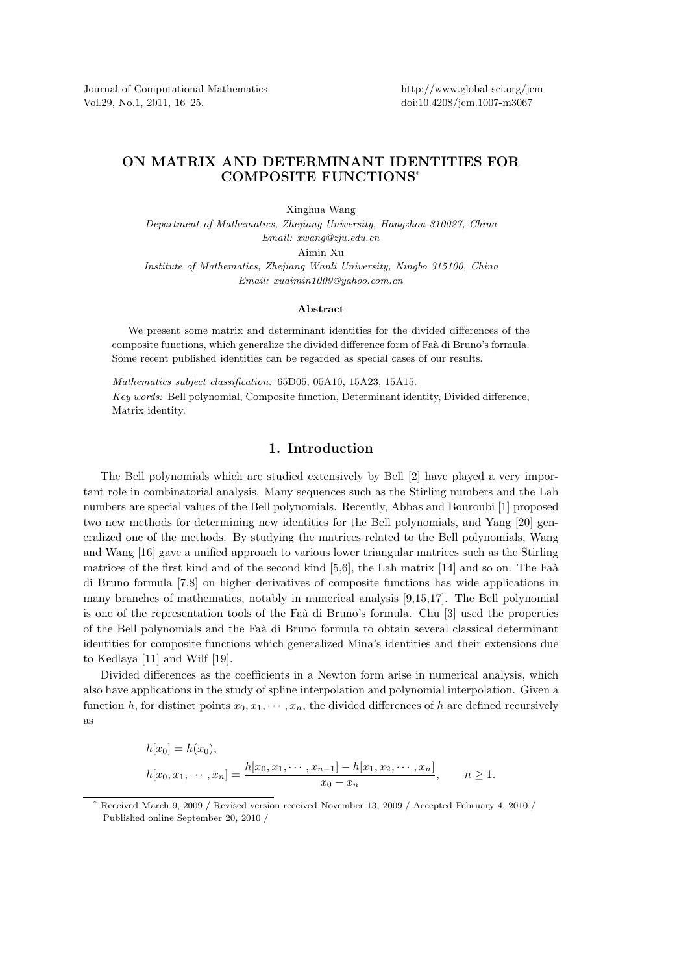Journal of Computational Mathematics Vol.29, No.1, 2011, 16–25.

http://www.global-sci.org/jcm doi:10.4208/jcm.1007-m3067

## ON MATRIX AND DETERMINANT IDENTITIES FOR COMPOSITE FUNCTIONS\*

Xinghua Wang

*Department of Mathematics, Zhejiang University, Hangzhou 310027, China Email: xwang@zju.edu.cn*

Aimin Xu

*Institute of Mathematics, Zhejiang Wanli University, Ningbo 315100, China Email: xuaimin1009@yahoo.com.cn*

## Abstract

We present some matrix and determinant identities for the divided differences of the composite functions, which generalize the divided difference form of Fa`a di Bruno's formula. Some recent published identities can be regarded as special cases of our results.

*Mathematics subject classification:* 65D05, 05A10, 15A23, 15A15. *Key words:* Bell polynomial, Composite function, Determinant identity, Divided difference, Matrix identity.

## 1. Introduction

The Bell polynomials which are studied extensively by Bell [2] have played a very important role in combinatorial analysis. Many sequences such as the Stirling numbers and the Lah numbers are special values of the Bell polynomials. Recently, Abbas and Bouroubi [1] proposed two new methods for determining new identities for the Bell polynomials, and Yang [20] generalized one of the methods. By studying the matrices related to the Bell polynomials, Wang and Wang [16] gave a unified approach to various lower triangular matrices such as the Stirling matrices of the first kind and of the second kind  $[5,6]$ , the Lah matrix  $[14]$  and so on. The Faà di Bruno formula [7,8] on higher derivatives of composite functions has wide applications in many branches of mathematics, notably in numerical analysis [9,15,17]. The Bell polynomial is one of the representation tools of the Faà di Bruno's formula. Chu [3] used the properties of the Bell polynomials and the Fa`a di Bruno formula to obtain several classical determinant identities for composite functions which generalized Mina's identities and their extensions due to Kedlaya [11] and Wilf [19].

Divided differences as the coefficients in a Newton form arise in numerical analysis, which also have applications in the study of spline interpolation and polynomial interpolation. Given a function h, for distinct points  $x_0, x_1, \dots, x_n$ , the divided differences of h are defined recursively as

$$
h[x_0] = h(x_0),
$$
  
\n
$$
h[x_0, x_1, \dots, x_n] = \frac{h[x_0, x_1, \dots, x_{n-1}] - h[x_1, x_2, \dots, x_n]}{x_0 - x_n}, \qquad n \ge 1.
$$

Received March 9, 2009 / Revised version received November 13, 2009 / Accepted February 4, 2010 / Published online September 20, 2010 /